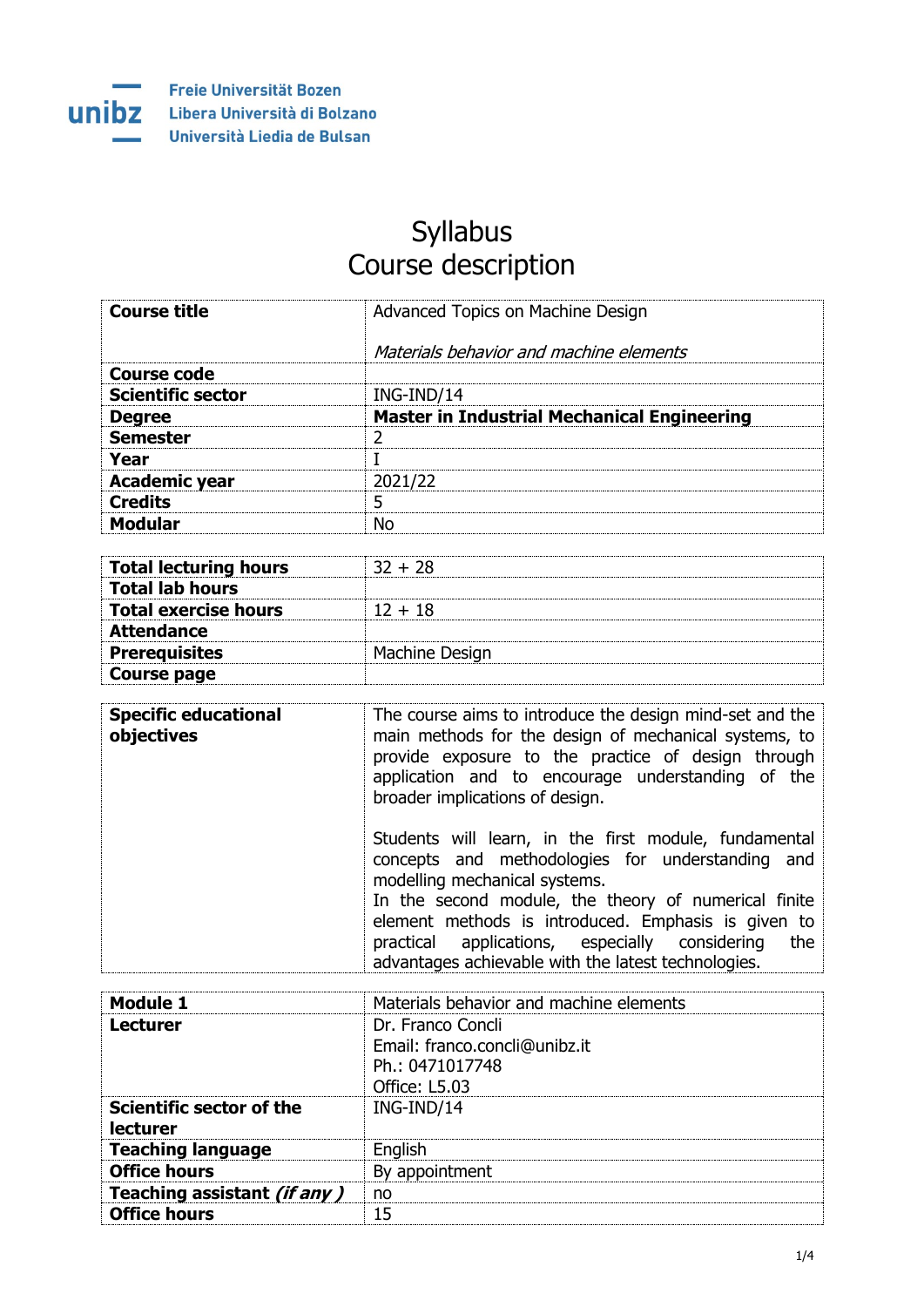

## Syllabus Course description

| <b>Course title</b>      | Advanced Topics on Machine Design                  |
|--------------------------|----------------------------------------------------|
|                          | Materials behavior and machine elements            |
| <b>Course code</b>       |                                                    |
| <b>Scientific sector</b> | ING-IND/14                                         |
| <b>Degree</b>            | <b>Master in Industrial Mechanical Engineering</b> |
| <b>Semester</b>          |                                                    |
| Year                     |                                                    |
| <b>Academic year</b>     | 2021/22                                            |
| <b>Credits</b>           | 5                                                  |
| <b>Modular</b>           | No                                                 |

| <b>Total lecturing hours</b> | $32 + 28$      |
|------------------------------|----------------|
| <b>Total lab hours</b>       |                |
| <b>Total exercise hours</b>  | $12 + 18$      |
| <b>Attendance</b>            |                |
| <b>Prerequisites</b>         | Machine Design |
| Course page                  |                |

| <b>Specific educational</b><br>objectives | The course aims to introduce the design mind-set and the<br>main methods for the design of mechanical systems, to<br>provide exposure to the practice of design through<br>application and to encourage understanding of the<br>broader implications of design.                                                                                                           |
|-------------------------------------------|---------------------------------------------------------------------------------------------------------------------------------------------------------------------------------------------------------------------------------------------------------------------------------------------------------------------------------------------------------------------------|
|                                           | Students will learn, in the first module, fundamental<br>concepts and methodologies for understanding and<br>modelling mechanical systems.<br>In the second module, the theory of numerical finite<br>element methods is introduced. Emphasis is given to<br>practical applications, especially considering<br>the<br>advantages achievable with the latest technologies. |

| Module 1                    | Materials behavior and machine elements |
|-----------------------------|-----------------------------------------|
| <b>Lecturer</b>             | Dr. Franco Concli                       |
|                             | Email: franco.concli@unibz.it           |
|                             | Ph.: 0471017748                         |
|                             | Office: L5.03                           |
| Scientific sector of the    | ING-IND/14                              |
| lecturer                    |                                         |
| <b>Teaching language</b>    | English                                 |
| <b>Office hours</b>         | By appointment                          |
| Teaching assistant (if any) | no                                      |
| <b>Office hours</b>         | 15                                      |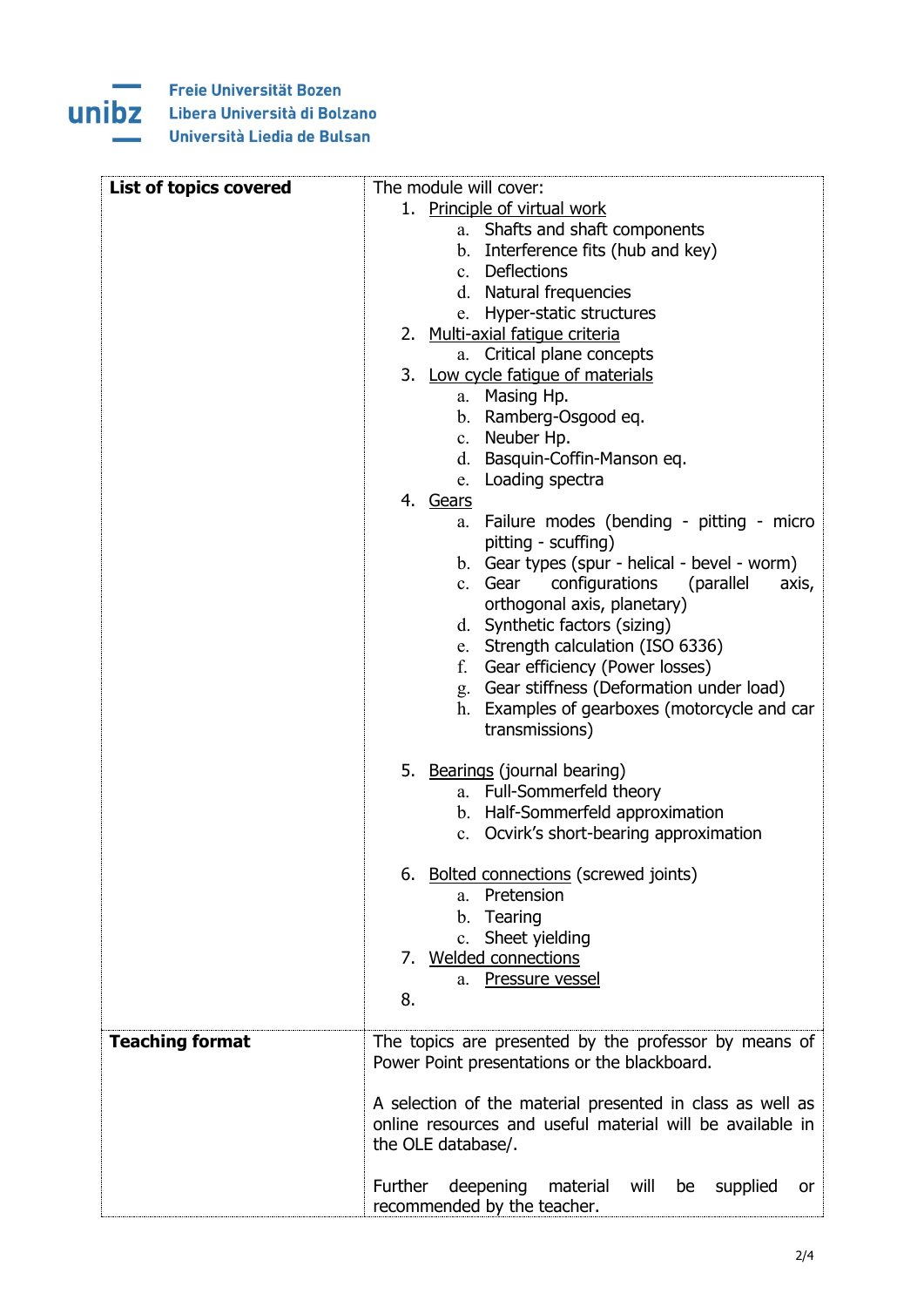## **Contract St** unibz

Freie Universität Bozen Libera Università di Bolzano Università Liedia de Bulsan

| <b>List of topics covered</b> | The module will cover:                                                                       |
|-------------------------------|----------------------------------------------------------------------------------------------|
|                               | 1. Principle of virtual work                                                                 |
|                               | a. Shafts and shaft components                                                               |
|                               | b. Interference fits (hub and key)                                                           |
|                               | c. Deflections                                                                               |
|                               | d. Natural frequencies                                                                       |
|                               | e. Hyper-static structures                                                                   |
|                               | 2. Multi-axial fatique criteria                                                              |
|                               | a. Critical plane concepts                                                                   |
|                               | 3. Low cycle fatigue of materials                                                            |
|                               | a. Masing Hp.                                                                                |
|                               | b. Ramberg-Osgood eq.                                                                        |
|                               | Neuber Hp.<br>$c_{\cdot}$                                                                    |
|                               | d. Basquin-Coffin-Manson eq.                                                                 |
|                               | e. Loading spectra                                                                           |
|                               | 4. Gears                                                                                     |
|                               | Failure modes (bending - pitting - micro<br>а.                                               |
|                               | pitting - scuffing)                                                                          |
|                               | b. Gear types (spur - helical - bevel - worm)                                                |
|                               | configurations<br>(parallel<br>c. Gear<br>axis,                                              |
|                               | orthogonal axis, planetary)                                                                  |
|                               | d. Synthetic factors (sizing)                                                                |
|                               | e. Strength calculation (ISO 6336)                                                           |
|                               | Gear efficiency (Power losses)<br>f.                                                         |
|                               | g. Gear stiffness (Deformation under load)                                                   |
|                               | Examples of gearboxes (motorcycle and car<br>h.                                              |
|                               | transmissions)                                                                               |
|                               |                                                                                              |
|                               | 5. Bearings (journal bearing)                                                                |
|                               | a. Full-Sommerfeld theory                                                                    |
|                               | b. Half-Sommerfeld approximation                                                             |
|                               | c. Ocvirk's short-bearing approximation                                                      |
|                               |                                                                                              |
|                               | 6. Bolted connections (screwed joints)                                                       |
|                               | Pretension<br>a.                                                                             |
|                               | b. Tearing                                                                                   |
|                               | c. Sheet yielding                                                                            |
|                               | 7. Welded connections                                                                        |
|                               | a. Pressure vessel                                                                           |
|                               | 8.                                                                                           |
|                               |                                                                                              |
| <b>Teaching format</b>        | The topics are presented by the professor by means of                                        |
|                               | Power Point presentations or the blackboard.                                                 |
|                               |                                                                                              |
|                               | A selection of the material presented in class as well as                                    |
|                               | online resources and useful material will be available in                                    |
|                               | the OLE database/.                                                                           |
|                               |                                                                                              |
|                               | Further<br>deepening<br>material will<br>be<br>supplied<br>or<br>recommended by the teacher. |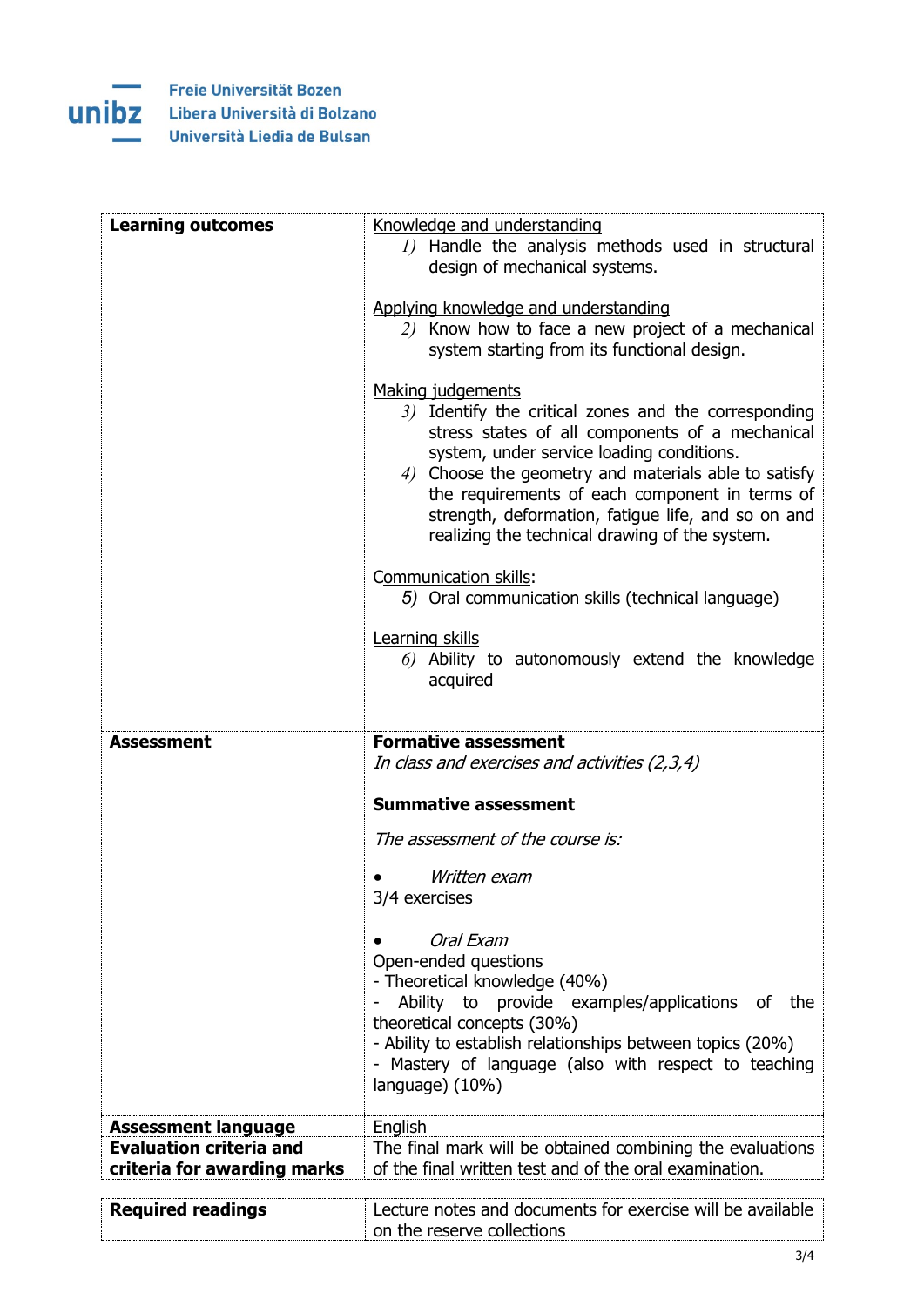

| <b>Learning outcomes</b>       | Knowledge and understanding                                                      |
|--------------------------------|----------------------------------------------------------------------------------|
|                                | 1) Handle the analysis methods used in structural                                |
|                                | design of mechanical systems.                                                    |
|                                |                                                                                  |
|                                | Applying knowledge and understanding                                             |
|                                | 2) Know how to face a new project of a mechanical                                |
|                                | system starting from its functional design.                                      |
|                                |                                                                                  |
|                                | Making judgements<br>3) Identify the critical zones and the corresponding        |
|                                | stress states of all components of a mechanical                                  |
|                                | system, under service loading conditions.                                        |
|                                | 4) Choose the geometry and materials able to satisfy                             |
|                                | the requirements of each component in terms of                                   |
|                                | strength, deformation, fatigue life, and so on and                               |
|                                | realizing the technical drawing of the system.                                   |
|                                |                                                                                  |
|                                | Communication skills:                                                            |
|                                | 5) Oral communication skills (technical language)                                |
|                                | Learning skills                                                                  |
|                                | 6) Ability to autonomously extend the knowledge                                  |
|                                | acquired                                                                         |
|                                |                                                                                  |
|                                |                                                                                  |
|                                |                                                                                  |
| <b>Assessment</b>              | <b>Formative assessment</b>                                                      |
|                                | In class and exercises and activities (2,3,4)                                    |
|                                | <b>Summative assessment</b>                                                      |
|                                |                                                                                  |
|                                | The assessment of the course is:                                                 |
|                                | Written exam                                                                     |
|                                | 3/4 exercises                                                                    |
|                                |                                                                                  |
|                                | Oral Exam                                                                        |
|                                | Open-ended questions                                                             |
|                                | - Theoretical knowledge (40%)                                                    |
|                                | Ability to provide examples/applications of<br>the<br>theoretical concepts (30%) |
|                                | - Ability to establish relationships between topics (20%)                        |
|                                | - Mastery of language (also with respect to teaching                             |
|                                | language) (10%)                                                                  |
|                                |                                                                                  |
| <b>Assessment language</b>     | English                                                                          |
| <b>Evaluation criteria and</b> | The final mark will be obtained combining the evaluations                        |
| criteria for awarding marks    | of the final written test and of the oral examination.                           |
| <b>Required readings</b>       | Lecture notes and documents for exercise will be available                       |